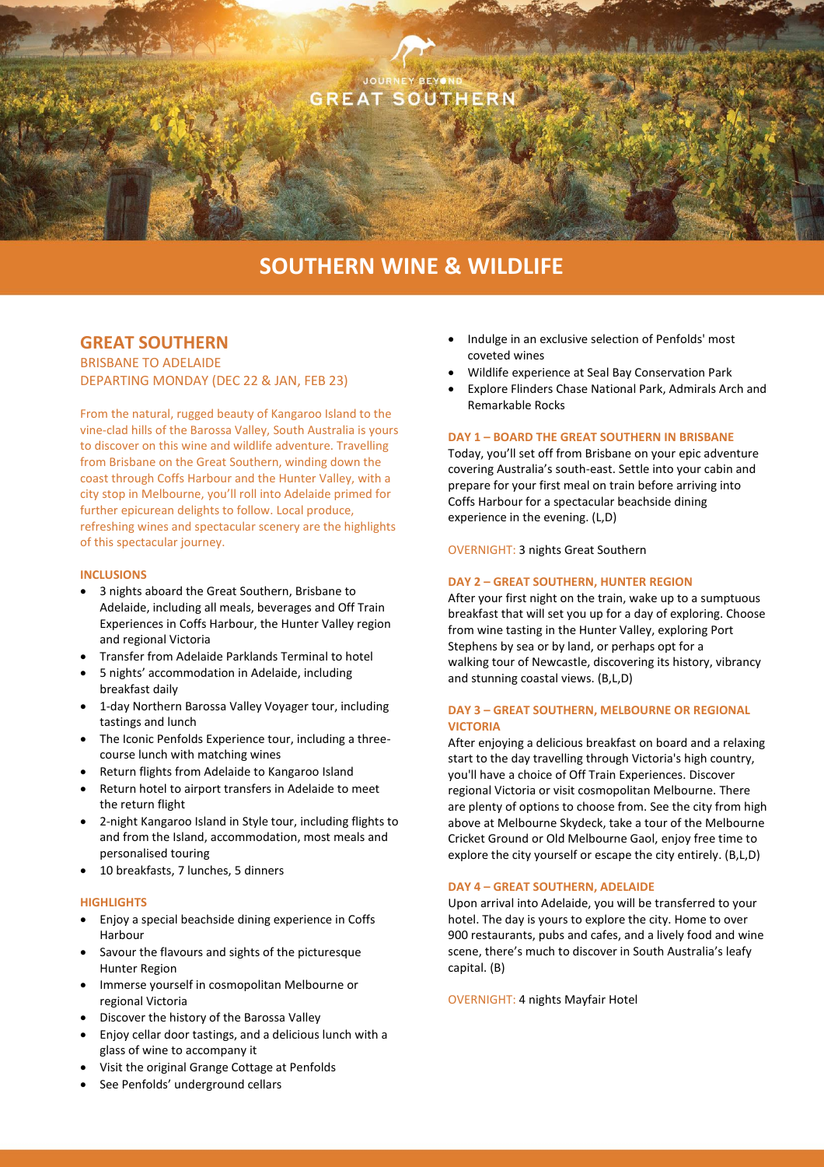

# **SOUTHERN WINE & WILDLIFE**

# **GREAT SOUTHERN**

BRISBANE TO ADELAIDE DEPARTING MONDAY (DEC 22 & JAN, FEB 23)

From the natural, rugged beauty of Kangaroo Island to the vine-clad hills of the Barossa Valley, South Australia is yours to discover on this wine and wildlife adventure. Travelling from Brisbane on the Great Southern, winding down the coast through Coffs Harbour and the Hunter Valley, with a city stop in Melbourne, you'll roll into Adelaide primed for further epicurean delights to follow. Local produce, refreshing wines and spectacular scenery are the highlights of this spectacular journey.

#### **INCLUSIONS**

- 3 nights aboard the Great Southern, Brisbane to Adelaide, including all meals, beverages and Off Train Experiences in Coffs Harbour, the Hunter Valley region and regional Victoria
- Transfer from Adelaide Parklands Terminal to hotel
- 5 nights' accommodation in Adelaide, including breakfast daily
- 1-day Northern Barossa Valley Voyager tour, including tastings and lunch
- The Iconic Penfolds Experience tour, including a threecourse lunch with matching wines
- Return flights from Adelaide to Kangaroo Island
- Return hotel to airport transfers in Adelaide to meet the return flight
- 2-night Kangaroo Island in Style tour, including flights to and from the Island, accommodation, most meals and personalised touring
- 10 breakfasts, 7 lunches, 5 dinners

#### **HIGHLIGHTS**

- Enjoy a special beachside dining experience in Coffs Harbour
- Savour the flavours and sights of the picturesque Hunter Region
- Immerse yourself in cosmopolitan Melbourne or regional Victoria
- Discover the history of the Barossa Valley
- Enjoy cellar door tastings, and a delicious lunch with a glass of wine to accompany it
- Visit the original Grange Cottage at Penfolds
- See Penfolds' underground cellars
- Indulge in an exclusive selection of Penfolds' most coveted wines
- Wildlife experience at Seal Bay Conservation Park
- Explore Flinders Chase National Park, Admirals Arch and Remarkable Rocks

### **DAY 1 – BOARD THE GREAT SOUTHERN IN BRISBANE**

Today, you'll set off from Brisbane on your epic adventure covering Australia's south-east. Settle into your cabin and prepare for your first meal on train before arriving into Coffs Harbour for a spectacular beachside dining experience in the evening. (L,D)

OVERNIGHT: 3 nights Great Southern

#### **DAY 2 – GREAT SOUTHERN, HUNTER REGION**

After your first night on the train, wake up to a sumptuous breakfast that will set you up for a day of exploring. Choose from wine tasting in the Hunter Valley, exploring Port Stephens by sea or by land, or perhaps opt for a walking tour of Newcastle, discovering its history, vibrancy and stunning coastal views. (B,L,D)

### **DAY 3 – GREAT SOUTHERN, MELBOURNE OR REGIONAL VICTORIA**

After enjoying a delicious breakfast on board and a relaxing start to the day travelling through Victoria's high country, you'll have a choice of Off Train Experiences. Discover regional Victoria or visit cosmopolitan Melbourne. There are plenty of options to choose from. See the city from high above at Melbourne Skydeck, take a tour of the Melbourne Cricket Ground or Old Melbourne Gaol, enjoy free time to explore the city yourself or escape the city entirely. (B,L,D)

## **DAY 4 – GREAT SOUTHERN, ADELAIDE**

Upon arrival into Adelaide, you will be transferred to your hotel. The day is yours to explore the city. Home to over 900 restaurants, pubs and cafes, and a lively food and wine scene, there's much to discover in South Australia's leafy capital. (B)

OVERNIGHT: 4 nights Mayfair Hotel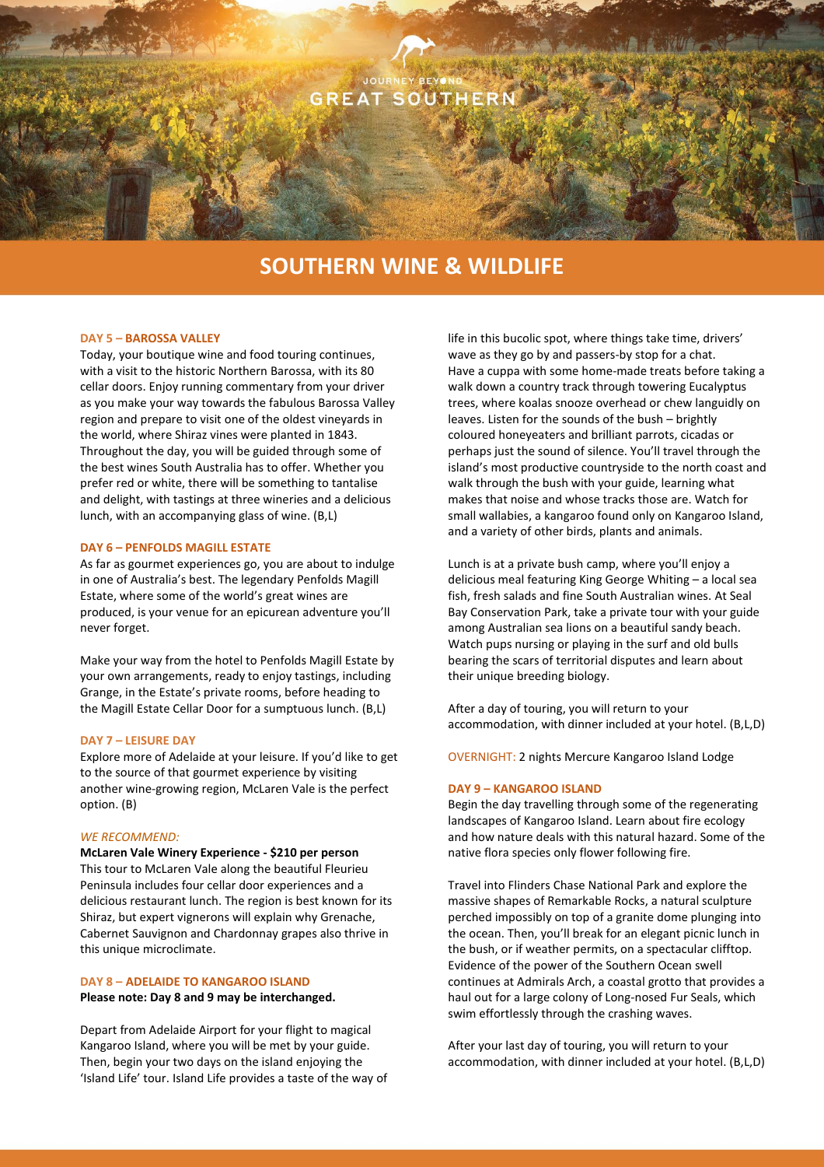

# **SOUTHERN WINE & WILDLIFE**

#### **DAY 5 – BAROSSA VALLEY**

Today, your boutique wine and food touring continues, with a visit to the historic Northern Barossa, with its 80 cellar doors. Enjoy running commentary from your driver as you make your way towards the fabulous Barossa Valley region and prepare to visit one of the oldest vineyards in the world, where Shiraz vines were planted in 1843. Throughout the day, you will be guided through some of the best wines South Australia has to offer. Whether you prefer red or white, there will be something to tantalise and delight, with tastings at three wineries and a delicious lunch, with an accompanying glass of wine. (B,L)

#### **DAY 6 – PENFOLDS MAGILL ESTATE**

As far as gourmet experiences go, you are about to indulge in one of Australia's best. The legendary Penfolds Magill Estate, where some of the world's great wines are produced, is your venue for an epicurean adventure you'll never forget.

Make your way from the hotel to Penfolds Magill Estate by your own arrangements, ready to enjoy tastings, including Grange, in the Estate's private rooms, before heading to the Magill Estate Cellar Door for a sumptuous lunch. (B,L)

#### **DAY 7 – LEISURE DAY**

Explore more of Adelaide at your leisure. If you'd like to get to the source of that gourmet experience by visiting another wine-growing region, McLaren Vale is the perfect option. (B)

#### *WE RECOMMEND:*

**McLaren Vale Winery Experience - \$210 per person** This tour to McLaren Vale along the beautiful Fleurieu Peninsula includes four cellar door experiences and a delicious restaurant lunch. The region is best known for its Shiraz, but expert vignerons will explain why Grenache, Cabernet Sauvignon and Chardonnay grapes also thrive in this unique microclimate.

# **DAY 8 – ADELAIDE TO KANGAROO ISLAND**

**Please note: Day 8 and 9 may be interchanged.**

Depart from Adelaide Airport for your flight to magical Kangaroo Island, where you will be met by your guide. Then, begin your two days on the island enjoying the 'Island Life' tour. Island Life provides a taste of the way of life in this bucolic spot, where things take time, drivers' wave as they go by and passers-by stop for a chat. Have a cuppa with some home-made treats before taking a walk down a country track through towering Eucalyptus trees, where koalas snooze overhead or chew languidly on leaves. Listen for the sounds of the bush – brightly coloured honeyeaters and brilliant parrots, cicadas or perhaps just the sound of silence. You'll travel through the island's most productive countryside to the north coast and walk through the bush with your guide, learning what makes that noise and whose tracks those are. Watch for small wallabies, a kangaroo found only on Kangaroo Island, and a variety of other birds, plants and animals.

Lunch is at a private bush camp, where you'll enjoy a delicious meal featuring King George Whiting – a local sea fish, fresh salads and fine South Australian wines. At Seal Bay Conservation Park, take a private tour with your guide among Australian sea lions on a beautiful sandy beach. Watch pups nursing or playing in the surf and old bulls bearing the scars of territorial disputes and learn about their unique breeding biology.

After a day of touring, you will return to your accommodation, with dinner included at your hotel. (B,L,D)

OVERNIGHT: 2 nights Mercure Kangaroo Island Lodge

#### **DAY 9 – KANGAROO ISLAND**

Begin the day travelling through some of the regenerating landscapes of Kangaroo Island. Learn about fire ecology and how nature deals with this natural hazard. Some of the native flora species only flower following fire.

Travel into Flinders Chase National Park and explore the massive shapes of Remarkable Rocks, a natural sculpture perched impossibly on top of a granite dome plunging into the ocean. Then, you'll break for an elegant picnic lunch in the bush, or if weather permits, on a spectacular clifftop. Evidence of the power of the Southern Ocean swell continues at Admirals Arch, a coastal grotto that provides a haul out for a large colony of Long-nosed Fur Seals, which swim effortlessly through the crashing waves.

After your last day of touring, you will return to your accommodation, with dinner included at your hotel. (B,L,D)